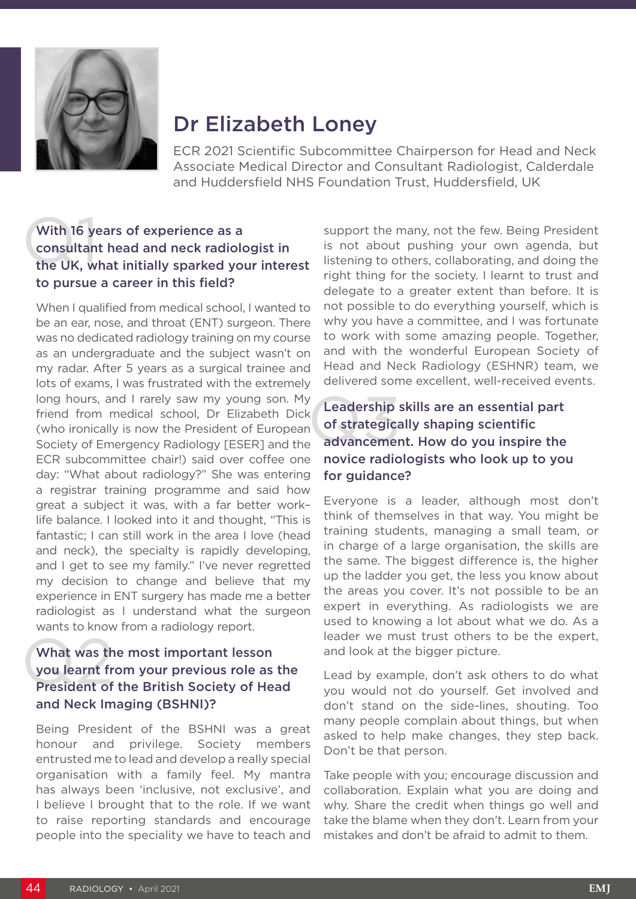

# Dr Elizabeth Loney

ECR 2021 Scientific Subcommittee Chairperson for Head and Neck Associate Medical Director and Consultant Radiologist, Calderdale and Huddersfield NHS Foundation Trust, Huddersfield, UK

## With 16 ye<br>consultan<br>the UK, w With 16 years of experience as a consultant head and neck radiologist in the UK, what initially sparked your interest to pursue a career in this field?

When I qualified from medical school, I wanted to be an ear, nose, and throat (ENT) surgeon. There was no dedicated radiology training on my course as an undergraduate and the subject wasn't on my radar. After 5 years as a surgical trainee and lots of exams, I was frustrated with the extremely long hours, and I rarely saw my young son. My friend from medical school, Dr Elizabeth Dick (who ironically is now the President of European Society of Emergency Radiology [ESER] and the ECR subcommittee chair!) said over coffee one day: "What about radiology?" She was entering a registrar training programme and said how great a subject it was, with a far better work– life balance. I looked into it and thought, "This is fantastic; I can still work in the area I love (head and neck), the specialty is rapidly developing, and I get to see my family." I've never regretted my decision to change and believe that my experience in ENT surgery has made me a better radiologist as I understand what the surgeon wants to know from a radiology report.

# What was th<br>you learnt fr<br>President of What was the most important lesson you learnt from your previous role as the President of the British Society of Head and Neck Imaging (BSHNI)?

Being President of the BSHNI was a great honour and privilege. Society members entrusted me to lead and develop a really special organisation with a family feel. My mantra has always been 'inclusive, not exclusive', and I believe I brought that to the role. If we want to raise reporting standards and encourage people into the speciality we have to teach and

support the many, not the few. Being President is not about pushing your own agenda, but listening to others, collaborating, and doing the right thing for the society. I learnt to trust and delegate to a greater extent than before. It is not possible to do everything yourself, which is why you have a committee, and I was fortunate to work with some amazing people. Together, and with the wonderful European Society of Head and Neck Radiology (ESHNR) team, we delivered some excellent, well-received events.

#### Leadership<br>
of strategica<br>
advancemen Leadership skills are an essential part of strategically shaping scientific advancement. How do you inspire the novice radiologists who look up to you for quidance?

Everyone is a leader, although most don't think of themselves in that way. You might be training students, managing a small team, or in charge of a large organisation, the skills are the same. The biggest difference is, the higher up the ladder you get, the less you know about the areas you cover. It's not possible to be an expert in everything. As radiologists we are used to knowing a lot about what we do. As a leader we must trust others to be the expert, and look at the bigger picture.

Lead by example, don't ask others to do what you would not do yourself. Get involved and don't stand on the side-lines, shouting. Too many people complain about things, but when asked to help make changes, they step back. Don't be that person.

Take people with you; encourage discussion and collaboration. Explain what you are doing and why. Share the credit when things go well and take the blame when they don't. Learn from your mistakes and don't be afraid to admit to them.